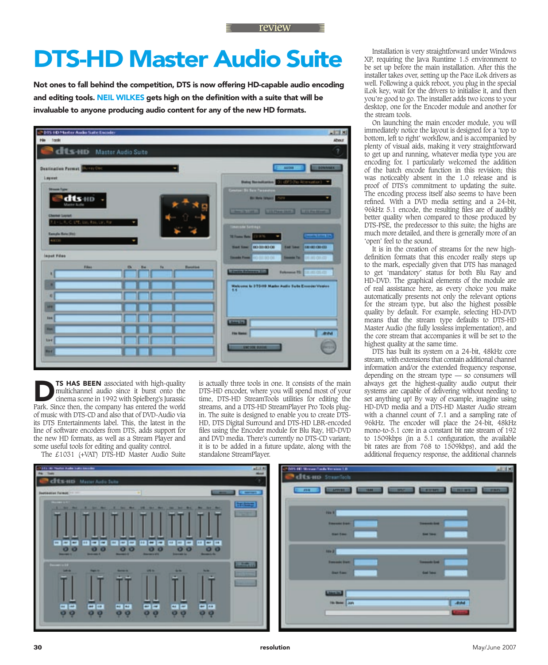## **DTS-HD Master Audio Suite**

Not ones to fall behind the competition, DTS is now offering HD-capable audio encoding and editing tools. NEIL WILKES gets high on the definition with a suite that will be invaluable to anyone producing audio content for any of the new HD formats.



TS HAS BEEN associated with high-quality multichannel audio since it burst onto the cinema scene in 1992 with Spielberg's Jurassic Park. Since then, the company has entered the world of music with DTS-CD and also that of DVD-Audio via its DTS Entertainments label. This, the latest in the line of software encoders from DTS, adds support for the new HD formats, as well as a Stream Player and some useful tools for editing and quality control.

The £1031 (+VAT) DTS-HD Master Audio Suite

is actually three tools in one. It consists of the main DTS-HD encoder, where you will spend most of your time, DTS-HD StreamTools utilities for editing the streams, and a DTS-HD StreamPlayer Pro Tools plugin. The suite is designed to enable you to create DTS-HD, DTS Digital Surround and DTS-HD LBR-encoded files using the Encoder module for Blu Ray, HD-DVD and DVD media. There's currently no DTS-CD variant; it is to be added in a future update, along with the standalone StreamPlayer.

Installation is very straightforward under Windows XP, requiring the Java Runtime 1.5 environment to be set up before the main installation. After this the installer takes over, setting up the Pace iLok drivers as well. Following a quick reboot, you plug in the special iLok key, wait for the drivers to initialise it, and then you're good to go. The installer adds two icons to your desktop, one for the Encoder module and another for the stream tools.

On launching the main encoder module, you will immediately notice the layout is designed for a 'top to bottom, left to right' workflow, and is accompanied by plenty of visual aids, making it very straightforward to get up and running, whatever media type you are encoding for. I particularly welcomed the addition of the batch encode function in this revision; this was noticeably absent in the 1.0 release and is proof of DTS's commitment to updating the suite. The encoding process itself also seems to have been refined. With a DVD media setting and a 24-bit, 96kHz 5.1 encode, the resulting files are of audibly better quality when compared to those produced by DTS-PSE, the predecessor to this suite; the highs are much more detailed, and there is generally more of an 'open' feel to the sound.

It is in the creation of streams for the new highdefinition formats that this encoder really steps up to the mark, especially given that DTS has managed to get 'mandatory' status for both Blu Ray and HD-DVD. The graphical elements of the module are of real assistance here, as every choice you make automatically presents not only the relevant options for the stream type, but also the highest possible quality by default. For example, selecting HD-DVD means that the stream type defaults to DTS-HD Master Audio (the fully lossless implementation), and the core stream that accompanies it will be set to the highest quality at the same time.

DTS has built its system on a 24-bit, 48kHz core stream, with extensions that contain additional channel information and/or the extended frequency response, depending on the stream type — so consumers will always get the highest-quality audio output their systems are capable of delivering without needing to set anything up! By way of example, imagine using HD-DVD media and a DTS-HD Master Audio stream with a channel count of 7.1 and a sampling rate of 96kHz. The encoder will place the 24-bit, 48kHz mono-to-5.1 core in a constant bit rate stream of 192 to  $1509kbps$  (in a  $5.1$  configuration, the available bit rates are from 768 to 1509kbps), and add the additional frequency response, the additional channels